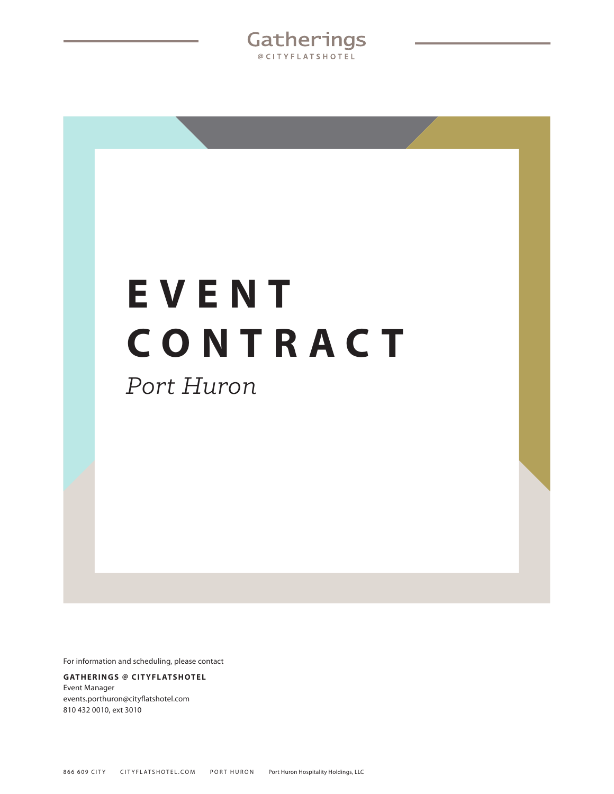Gatherings @CITYFLATSHOTEL

# **E V E N T CONTRACT**

*Port Huron*

For information and scheduling, please contact

#### **GATHERINGS @ CITYFLATSHOTEL** Event Manager events.porthuron@cityflatshotel.com 810 432 0010, ext 3010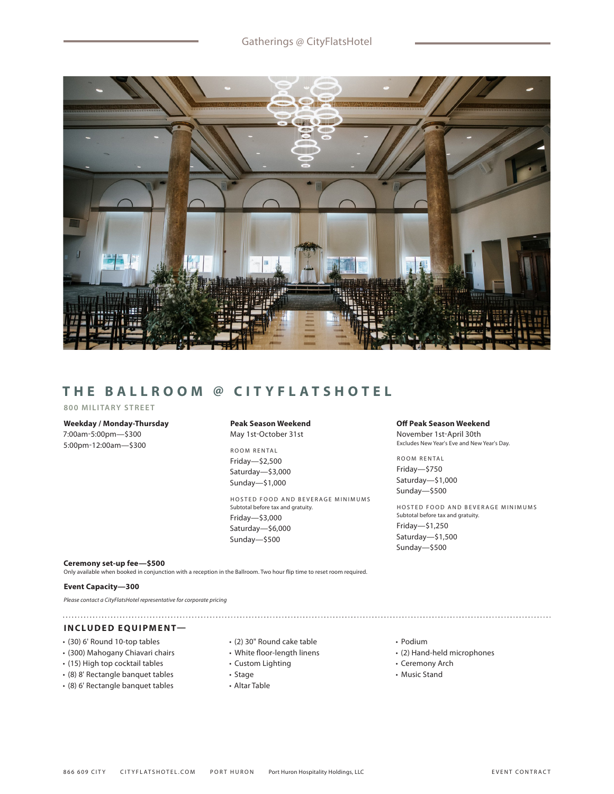

# **THE BALLROOM @ CITYFLATSHOTEL**

#### **800 MILITARY STREET**

#### **Weekday / Monday-Thursday** 7:00am-5:00pm—\$300

5:00pm-12:00am—\$300

#### **Peak Season Weekend** May 1st-October 31st

ROOM RENTAL Friday—\$2,500 Saturday—\$3,000 Sunday—\$1,000

HOSTED FOOD AND BEVERAGE MINIMUMS Subtotal before tax and gratuity. Friday—\$3,000 Saturday—\$6,000 Sunday—\$500

#### **Off Peak Season Weekend**

November 1st-April 30th Excludes New Year's Eve and New Year's Day.

ROOM RENTAL Friday—\$750 Saturday—\$1,000 Sunday—\$500

HOSTED FOOD AND BEVERAGE MINIMUMS Subtotal before tax and gratuity. Friday—\$1,250 Saturday—\$1,500 Sunday—\$500

#### **Ceremony set-up fee—\$500**

Only available when booked in conjunction with a reception in the Ballroom. Two hour flip time to reset room required.

#### **Event Capacity—300**

*Please contact a CityFlatsHotel representative for corporate pricing*

# **INCLUDED EQUIPMENT—**

- (30) 6' Round 10-top tables
- (300) Mahogany Chiavari chairs
- (15) High top cocktail tables
- (8) 8' Rectangle banquet tables
- (8) 6' Rectangle banquet tables
- (2) 30" Round cake table
- White floor-length linens
- Custom Lighting
- Stage
- Altar Table
- Podium
- (2) Hand-held microphones

- Ceremony Arch
- Music Stand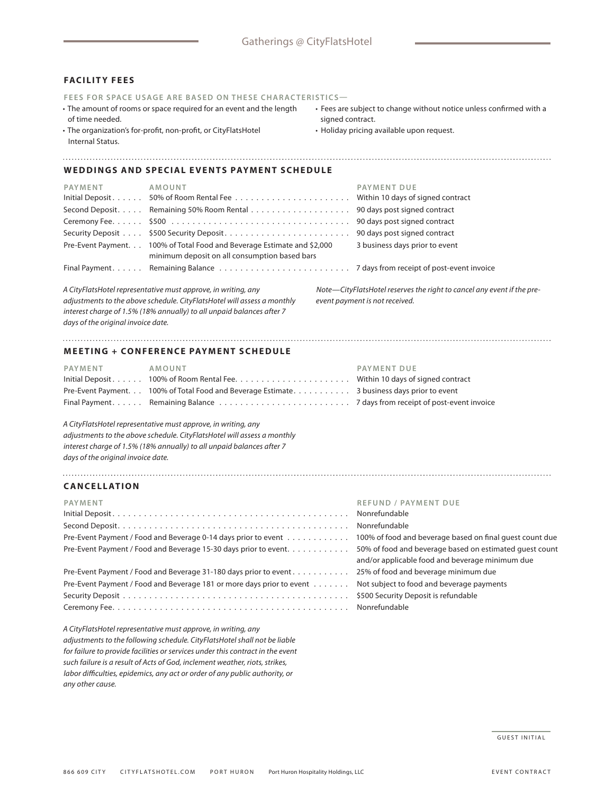#### **FACILITY FEES**

**FEES FOR SPACE USAGE ARE BASED ON THESE CHARACTERISTICS—**

- The amount of rooms or space required for an event and the length of time needed.
- The organization's for-profit, non-profit, or CityFlatsHotel Internal Status.
- Fees are subject to change without notice unless confirmed with a signed contract.
- Holiday pricing available upon request.

#### **WEDDINGS AND SPECIAL EVENTS PAYMENT SCHEDULE**

| PAYMENT | AMOUNT                                                                                                                   | <b>PAYMENT DUE</b>             |
|---------|--------------------------------------------------------------------------------------------------------------------------|--------------------------------|
|         |                                                                                                                          |                                |
|         | Second Deposit. Remaining 50% Room Rental 90 days post signed contract                                                   |                                |
|         |                                                                                                                          |                                |
|         |                                                                                                                          |                                |
|         | Pre-Event Payment. 100% of Total Food and Beverage Estimate and \$2,000<br>minimum deposit on all consumption based bars | 3 business days prior to event |
|         |                                                                                                                          |                                |

*A CityFlatsHotel representative must approve, in writing, any adjustments to the above schedule. CityFlatsHotel will assess a monthly interest charge of 1.5% (18% annually) to all unpaid balances after 7 days of the original invoice date.*

*Note—CityFlatsHotel reserves the right to cancel any event if the preevent payment is not received.*

#### **MEETING + CONFERENCE PAYMENT SCHEDULE**

| PAYMENT | AMOUNT                                                                                      | PAYMENT DUE |
|---------|---------------------------------------------------------------------------------------------|-------------|
|         | Initial Deposit 100% of Room Rental Fee Within 10 days of signed contract                   |             |
|         | Pre-Event Payment. 100% of Total Food and Beverage Estimate. 3 business days prior to event |             |
|         |                                                                                             |             |

*A CityFlatsHotel representative must approve, in writing, any adjustments to the above schedule. CityFlatsHotel will assess a monthly interest charge of 1.5% (18% annually) to all unpaid balances after 7 days of the original invoice date.*

### **CANCELLATION**

## **PAYMENT REFUND / PAYMENT DUE** Initial Deposit . . . . . . . . . . . . . . . . . . . . . . . . . . . . . . . . . . . . . . . . . . . . . Nonrefundable Second Deposit . . . . . . . . . . . . . . . . . . . . . . . . . . . . . . . . . . . . . . . . . . . . Nonrefundable Pre-Event Payment / Food and Beverage 0-14 days prior to event . . . . . . . . . . . . Pre-Event Payment / Food and Beverage 15-30 days prior to event. . . . . . . . . . . . and/or applicable food and beverage minimum due Pre-Event Payment / Food and Beverage 31-180 days prior to event . . . . . . . . . . . Pre-Event Payment / Food and Beverage 181 or more days prior to event . . . . . . . Security Deposit . .\$500 Security Deposit is refundable Ceremony Fee . . . . . . . . . . . . . . . . . . . . . . . . . . . . . . . . . . . . . . . . . . . . . Nonrefundable

*A CityFlatsHotel representative must approve, in writing, any adjustments to the following schedule. CityFlatsHotel shall not be liable for failure to provide facilities or services under this contract in the event such failure is a result of Acts of God, inclement weather, riots, strikes, labor difficulties, epidemics, any act or order of any public authority, or any other cause.*

| Nonrefundable                                            |
|----------------------------------------------------------|
| Nonrefundable                                            |
| 100% of food and beverage based on final quest count due |
| 50% of food and beverage based on estimated quest count  |
| and/or applicable food and beverage minimum due          |
| 25% of food and beverage minimum due                     |
| Not subject to food and beverage payments                |
| \$500 Security Deposit is refundable                     |
| Nonrefundable                                            |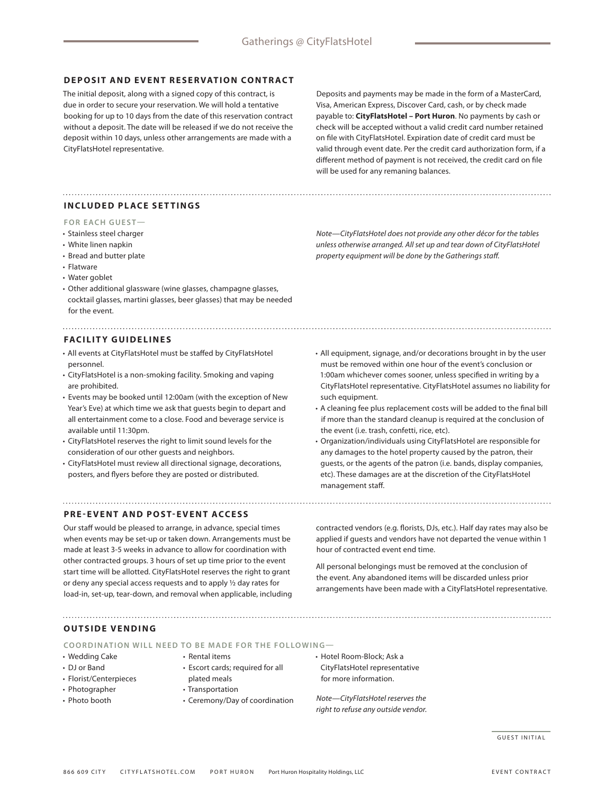#### **DEPOSIT AND EVENT RESERVATION CONTRACT**

The initial deposit, along with a signed copy of this contract, is due in order to secure your reservation. We will hold a tentative booking for up to 10 days from the date of this reservation contract without a deposit. The date will be released if we do not receive the deposit within 10 days, unless other arrangements are made with a CityFlatsHotel representative.

Deposits and payments may be made in the form of a MasterCard, Visa, American Express, Discover Card, cash, or by check made payable to: **CityFlatsHotel – Port Huron**. No payments by cash or check will be accepted without a valid credit card number retained on file with CityFlatsHotel. Expiration date of credit card must be valid through event date. Per the credit card authorization form, if a different method of payment is not received, the credit card on file will be used for any remaning balances.

#### **INCLUDED PLACE SETTINGS**

#### **FOR EACH GUEST—**

- Stainless steel charger
- White linen napkin
- Bread and butter plate
- Flatware
- Water goblet
- Other additional glassware (wine glasses, champagne glasses, cocktail glasses, martini glasses, beer glasses) that may be needed for the event.

#### **FACILITY GUIDELINES**

- All events at CityFlatsHotel must be staffed by CityFlatsHotel personnel.
- CityFlatsHotel is a non-smoking facility. Smoking and vaping are prohibited.
- Events may be booked until 12:00am (with the exception of New Year's Eve) at which time we ask that guests begin to depart and all entertainment come to a close. Food and beverage service is available until 11:30pm.
- CityFlatsHotel reserves the right to limit sound levels for the consideration of our other guests and neighbors.
- CityFlatsHotel must review all directional signage, decorations, posters, and flyers before they are posted or distributed.

#### **PRE-EVENT AND POST-EVENT ACCESS**

Our staff would be pleased to arrange, in advance, special times when events may be set-up or taken down. Arrangements must be made at least 3-5 weeks in advance to allow for coordination with other contracted groups. 3 hours of set up time prior to the event start time will be allotted. CityFlatsHotel reserves the right to grant or deny any special access requests and to apply ½ day rates for load-in, set-up, tear-down, and removal when applicable, including *property equipment will be done by the Gatherings staff.*

*Note—CityFlatsHotel does not provide any other décor for the tables unless otherwise arranged. All set up and tear down of CityFlatsHotel* 

- All equipment, signage, and/or decorations brought in by the user must be removed within one hour of the event's conclusion or 1:00am whichever comes sooner, unless specified in writing by a CityFlatsHotel representative. CityFlatsHotel assumes no liability for such equipment.
- A cleaning fee plus replacement costs will be added to the final bill if more than the standard cleanup is required at the conclusion of the event (i.e. trash, confetti, rice, etc).
- Organization/individuals using CityFlatsHotel are responsible for any damages to the hotel property caused by the patron, their guests, or the agents of the patron (i.e. bands, display companies, etc). These damages are at the discretion of the CityFlatsHotel management staff.

contracted vendors (e.g. florists, DJs, etc.). Half day rates may also be applied if guests and vendors have not departed the venue within 1 hour of contracted event end time.

All personal belongings must be removed at the conclusion of the event. Any abandoned items will be discarded unless prior arrangements have been made with a CityFlatsHotel representative.

**OUTSIDE VENDING**

**COORDINATION WILL NEED TO BE MADE FOR THE FOLLOWING—**

- Wedding Cake
- DJ or Band
- Florist/Centerpieces
- Photographer
- Photo booth
- Rental items
- Escort cards; required for all
- plated meals
- Transportation
- Ceremony/Day of coordination
- Hotel Room-Block; Ask a CityFlatsHotel representative for more information.

*Note—CityFlatsHotel reserves the right to refuse any outside vendor.*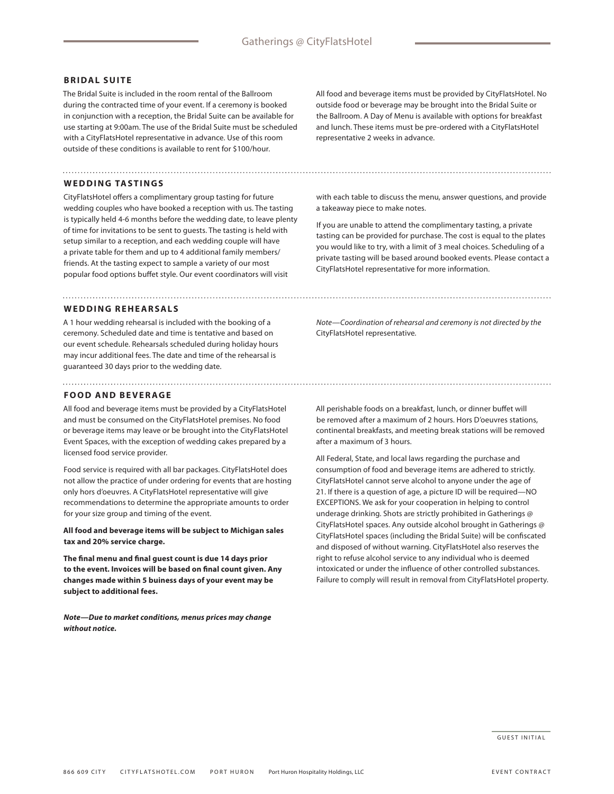#### **BRIDAL SUITE**

The Bridal Suite is included in the room rental of the Ballroom during the contracted time of your event. If a ceremony is booked in conjunction with a reception, the Bridal Suite can be available for use starting at 9:00am. The use of the Bridal Suite must be scheduled with a CityFlatsHotel representative in advance. Use of this room outside of these conditions is available to rent for \$100/hour.

#### **WEDDING TASTINGS**

CityFlatsHotel offers a complimentary group tasting for future wedding couples who have booked a reception with us. The tasting is typically held 4-6 months before the wedding date, to leave plenty of time for invitations to be sent to guests. The tasting is held with setup similar to a reception, and each wedding couple will have a private table for them and up to 4 additional family members/ friends. At the tasting expect to sample a variety of our most popular food options buffet style. Our event coordinators will visit

#### **WEDDING REHEARSALS**

A 1 hour wedding rehearsal is included with the booking of a ceremony. Scheduled date and time is tentative and based on our event schedule. Rehearsals scheduled during holiday hours may incur additional fees. The date and time of the rehearsal is guaranteed 30 days prior to the wedding date.

#### **FOOD AND BEVERAGE**

All food and beverage items must be provided by a CityFlatsHotel and must be consumed on the CityFlatsHotel premises. No food or beverage items may leave or be brought into the CityFlatsHotel Event Spaces, with the exception of wedding cakes prepared by a licensed food service provider.

Food service is required with all bar packages. CityFlatsHotel does not allow the practice of under ordering for events that are hosting only hors d'oeuvres. A CityFlatsHotel representative will give recommendations to determine the appropriate amounts to order for your size group and timing of the event.

**All food and beverage items will be subject to Michigan sales tax and 20% service charge.**

**The final menu and final guest count is due 14 days prior to the event. Invoices will be based on final count given. Any changes made within 5 buiness days of your event may be subject to additional fees.** 

*Note—Due to market conditions, menus prices may change without notice.*

All food and beverage items must be provided by CityFlatsHotel. No outside food or beverage may be brought into the Bridal Suite or the Ballroom. A Day of Menu is available with options for breakfast and lunch. These items must be pre-ordered with a CityFlatsHotel representative 2 weeks in advance.

with each table to discuss the menu, answer questions, and provide a takeaway piece to make notes.

If you are unable to attend the complimentary tasting, a private tasting can be provided for purchase. The cost is equal to the plates you would like to try, with a limit of 3 meal choices. Scheduling of a private tasting will be based around booked events. Please contact a CityFlatsHotel representative for more information.

*Note—Coordination of rehearsal and ceremony is not directed by the*  CityFlatsHotel representative*.*

All perishable foods on a breakfast, lunch, or dinner buffet will be removed after a maximum of 2 hours. Hors D'oeuvres stations, continental breakfasts, and meeting break stations will be removed after a maximum of 3 hours.

All Federal, State, and local laws regarding the purchase and consumption of food and beverage items are adhered to strictly. CityFlatsHotel cannot serve alcohol to anyone under the age of 21. If there is a question of age, a picture ID will be required—NO EXCEPTIONS. We ask for your cooperation in helping to control underage drinking. Shots are strictly prohibited in Gatherings @ CityFlatsHotel spaces. Any outside alcohol brought in Gatherings @ CityFlatsHotel spaces (including the Bridal Suite) will be confiscated and disposed of without warning. CityFlatsHotel also reserves the right to refuse alcohol service to any individual who is deemed intoxicated or under the influence of other controlled substances. Failure to comply will result in removal from CityFlatsHotel property.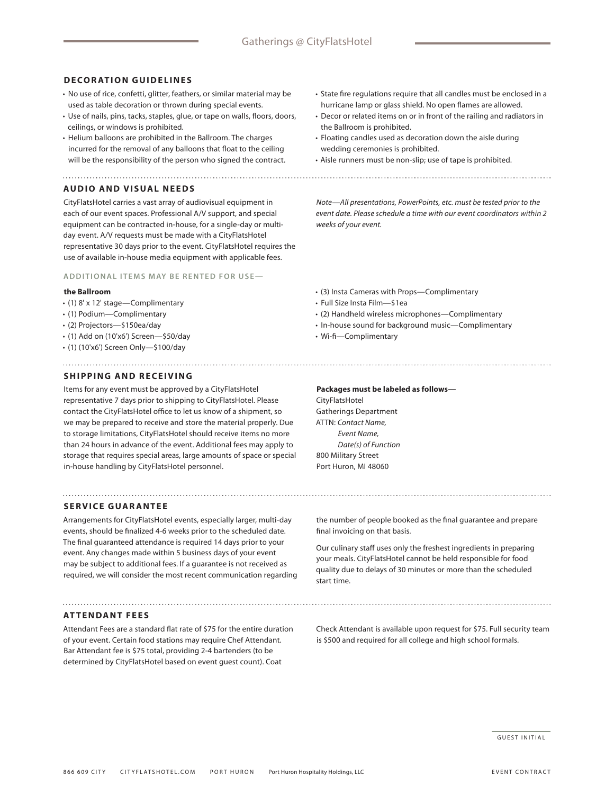#### **DECORATION GUIDELINES**

- No use of rice, confetti, glitter, feathers, or similar material may be used as table decoration or thrown during special events.
- Use of nails, pins, tacks, staples, glue, or tape on walls, floors, doors, ceilings, or windows is prohibited.
- Helium balloons are prohibited in the Ballroom. The charges incurred for the removal of any balloons that float to the ceiling will be the responsibility of the person who signed the contract.

#### **AUDIO AND VISUAL NEEDS**

CityFlatsHotel carries a vast array of audiovisual equipment in each of our event spaces. Professional A/V support, and special equipment can be contracted in-house, for a single-day or multiday event. A/V requests must be made with a CityFlatsHotel representative 30 days prior to the event. CityFlatsHotel requires the use of available in-house media equipment with applicable fees.

### **ADDITIONAL ITEMS MAY BE RENTED FOR USE—**

#### **the Ballroom**

- (1) 8' x 12' stage—Complimentary
- (1) Podium—Complimentary
- (2) Projectors—\$150ea/day
- (1) Add on (10'x6') Screen—\$50/day
- (1) (10'x6') Screen Only—\$100/day

#### **SHIPPING AND RECEIVING**

Items for any event must be approved by a CityFlatsHotel representative 7 days prior to shipping to CityFlatsHotel. Please contact the CityFlatsHotel office to let us know of a shipment, so we may be prepared to receive and store the material properly. Due to storage limitations, CityFlatsHotel should receive items no more than 24 hours in advance of the event. Additional fees may apply to storage that requires special areas, large amounts of space or special in-house handling by CityFlatsHotel personnel.

#### **SERVICE GUARANTEE**

Arrangements for CityFlatsHotel events, especially larger, multi-day events, should be finalized 4-6 weeks prior to the scheduled date. The final guaranteed attendance is required 14 days prior to your event. Any changes made within 5 business days of your event may be subject to additional fees. If a guarantee is not received as required, we will consider the most recent communication regarding

#### **ATTENDANT FEES**

Attendant Fees are a standard flat rate of \$75 for the entire duration of your event. Certain food stations may require Chef Attendant. Bar Attendant fee is \$75 total, providing 2-4 bartenders (to be determined by CityFlatsHotel based on event guest count). Coat

- State fire regulations require that all candles must be enclosed in a hurricane lamp or glass shield. No open flames are allowed.
- Decor or related items on or in front of the railing and radiators in the Ballroom is prohibited.
- Floating candles used as decoration down the aisle during wedding ceremonies is prohibited.
- Aisle runners must be non-slip; use of tape is prohibited.
- 

*Note—All presentations, PowerPoints, etc. must be tested prior to the event date. Please schedule a time with our event coordinators within 2 weeks of your event.*

- (3) Insta Cameras with Props—Complimentary
- Full Size Insta Film—\$1ea
- (2) Handheld wireless microphones—Complimentary
- In-house sound for background music—Complimentary
- Wi-fi—Complimentary

Port Huron, MI 48060

**Packages must be labeled as follows—** CityFlatsHotel Gatherings Department ATTN: *Contact Name, Event Name, Date(s) of Function* 800 Military Street

the number of people booked as the final guarantee and prepare final invoicing on that basis.

Our culinary staff uses only the freshest ingredients in preparing your meals. CityFlatsHotel cannot be held responsible for food quality due to delays of 30 minutes or more than the scheduled start time.

Check Attendant is available upon request for \$75. Full security team is \$500 and required for all college and high school formals.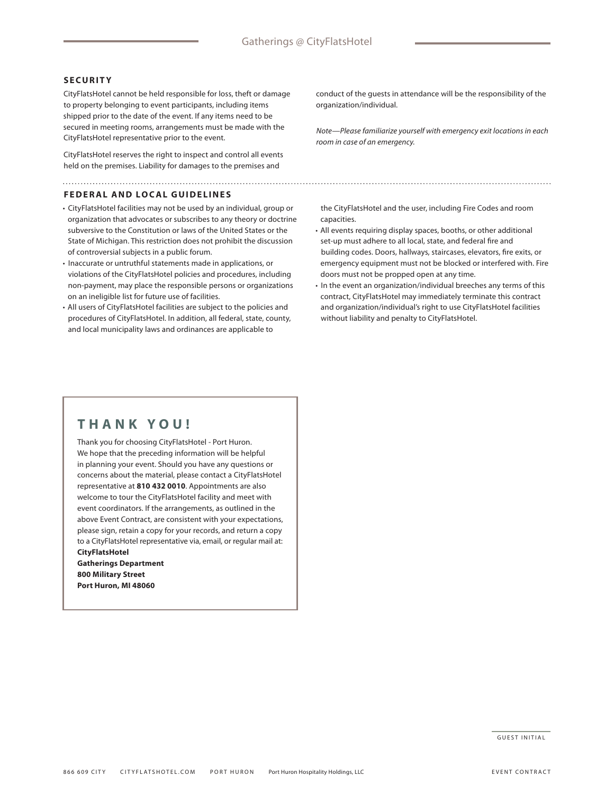#### **SECURITY**

CityFlatsHotel cannot be held responsible for loss, theft or damage to property belonging to event participants, including items shipped prior to the date of the event. If any items need to be secured in meeting rooms, arrangements must be made with the CityFlatsHotel representative prior to the event.

CityFlatsHotel reserves the right to inspect and control all events held on the premises. Liability for damages to the premises and

#### **FEDERAL AND LOCAL GUIDELINES**

• CityFlatsHotel facilities may not be used by an individual, group or organization that advocates or subscribes to any theory or doctrine subversive to the Constitution or laws of the United States or the State of Michigan. This restriction does not prohibit the discussion of controversial subjects in a public forum.

- Inaccurate or untruthful statements made in applications, or violations of the CityFlatsHotel policies and procedures, including non-payment, may place the responsible persons or organizations on an ineligible list for future use of facilities.
- All users of CityFlatsHotel facilities are subject to the policies and procedures of CityFlatsHotel. In addition, all federal, state, county, and local municipality laws and ordinances are applicable to

conduct of the guests in attendance will be the responsibility of the organization/individual.

*Note—Please familiarize yourself with emergency exit locations in each room in case of an emergency.*

the CityFlatsHotel and the user, including Fire Codes and room capacities.

- All events requiring display spaces, booths, or other additional set-up must adhere to all local, state, and federal fire and building codes. Doors, hallways, staircases, elevators, fire exits, or emergency equipment must not be blocked or interfered with. Fire doors must not be propped open at any time.
- In the event an organization/individual breeches any terms of this contract, CityFlatsHotel may immediately terminate this contract and organization/individual's right to use CityFlatsHotel facilities without liability and penalty to CityFlatsHotel.

# **THANK YOU!**

Thank you for choosing CityFlatsHotel - Port Huron. We hope that the preceding information will be helpful in planning your event. Should you have any questions or concerns about the material, please contact a CityFlatsHotel representative at **810 432 0010**. Appointments are also welcome to tour the CityFlatsHotel facility and meet with event coordinators. If the arrangements, as outlined in the above Event Contract, are consistent with your expectations, please sign, retain a copy for your records, and return a copy to a CityFlatsHotel representative via, email, or regular mail at: **CityFlatsHotel Gatherings Department**

**800 Military Street Port Huron, MI 48060**